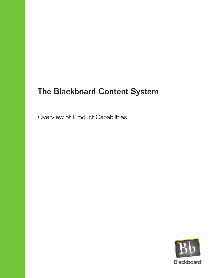# The Blackboard Content System

Overview of Product Capabilities

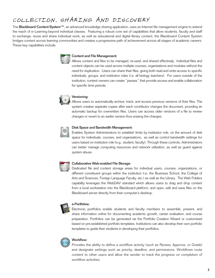# COLLECTION, SHARING AND DISCOVERY

The Blackboard Content System™, an advanced knowledge sharing application, uses an Internet file management engine to extend the reach of e–Learning beyond individual classes. Featuring a robust core set of capabilities that allow students, faculty and staff to exchange, reuse and share individual work, as well as educational and digital library content, the Blackboard Content System bridges content across learning communities and creates a progressive path of achievement across all stages of academic careers. These key capabilities include:



# Content and File Management:

Allows content and files to be managed, re-used, and shared effectively. Individual files and content objects can be used across multiple courses, organizations and modules without the need for duplication. Users can share their files, giving both read and write access to specific individuals, groups, and institution roles (i.e. all biology teachers). For users outside of the institution, content owners can create "passes" that provide access and enable collaboration for specific time periods.



## Versioning:

Allows users to automatically archive, track, and access previous versions of their files. The system creates separate copies after each contributor changes the document, providing an automatic backup for overwritten files. Users can access older versions of a file to review changes or revert to an earlier version thus erasing the changes.



#### Disk Space and Bandwidth Management:

Enables System Administrators to establish limits by institution role, on the amount of disk space for individuals, courses, and organizations, as well as control bandwidth settings for users based on institution role (e.g., student, faculty). Through these controls, Administrators can better manage computing resources and network utilization, as well as guard against system abuse.



# Collaborative Web-enabled File Storage:

Dedicated file and content storage areas for individual users, courses, organizations, or different constituent groups within the institution (i.e. the Business School, the College of Arts and Sciences, Foreign Language Faculty, etc.) as well as the Library. The Web Folders capability leverages the WebDAV standard which allows users to drag and drop content from a local workstation into the Blackboard platform, and open, edit and save files on the Blackboard server directly from their computer's desktop.



#### e-Portfolios:

Electronic portfolios enable students and faculty members to assemble, present, and share information online for documenting academic growth, career evaluation, and course preparation. Portfolios can be generated via the Portfolio Creation Wizard or customized based on pre-established portfolio templates. Institutions can also develop their own portfolio templates to guide their students in developing their portfolios.



# Workflow:

Provides the ability to define a workflow activity (such as Review, Approve, or Grade) and designate settings such as priority, deadline, and permissions. Workflows route content to other users and allow the sender to track the progress on completion of workflow activities.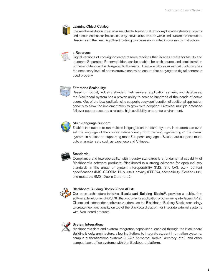

#### Learning Object Catalog:

Enables the institution to set up a searchable, hierarchical taxonomy to catalog learning objects and resources that can be accessed by individual users both within and outside the institution. Resources in the Learning Object Catalog can be easily included in courses by instructors.



#### e-Reserves:

Digital versions of copyright-cleared reserve readings that libraries create for faculty and students. Separate e-Reserve folders can be enabled for each course, and administration of these folders can be delegated to librarians. This capability assures that the library has the necessary level of administrative control to ensure that copyrighted digital content is used properly.



#### Enterprise Scalability:

Based on robust, industry standard web servers, application servers, and databases, the Blackboard system has a proven ability to scale to hundreds of thousands of active users. Out-of-the-box load balancing supports easy configuration of additional application servers to allow the implementation to grow with adoption. Likewise, multiple database fail-over support assures a reliable, high-availability enterprise environment.



#### Multi-Language Support:

Enables institutions to run multiple languages on the same system. Instructors can even set the language of the course independently from the language setting of the overall system. In addition to supporting most European languages, Blackboard supports multibyte character sets such as Japanese and Chinese.



#### Standards:

Compliance and interoperability with industry standards is a fundamental capability of Blackboard's software products. Blackboard is a strong advocate for open industry standards in the areas of system interoperability (IMS, SIF, OKI, etc.); content specifications (IMS, SCORM, NLN, etc.), privacy (FERPA), accessibility (Section 508), and metadata (IMS, Dublin Core, etc.).



#### Blackboard Building Blocks (Open APIs):

Our open architecture initiative, **Blackboard Building Blocks®**, provides a public, free software development kit (SDK) that documents application programming interfaces (APIs). Clients and independent software vendors use the Blackboard Building Blocks technology to create new functionality on top of the Blackboard platform or integrate external systems with Blackboard products.



## System Integration:

Blackboard's data and system integration capabilities, enabled through the Blackboard Building Blocks architecture, allow institutions to integrate student information systems, campus authentications systems (LDAP, Kerberos, Active Directory, etc.), and other campus back-office systems with the Blackboard platform.